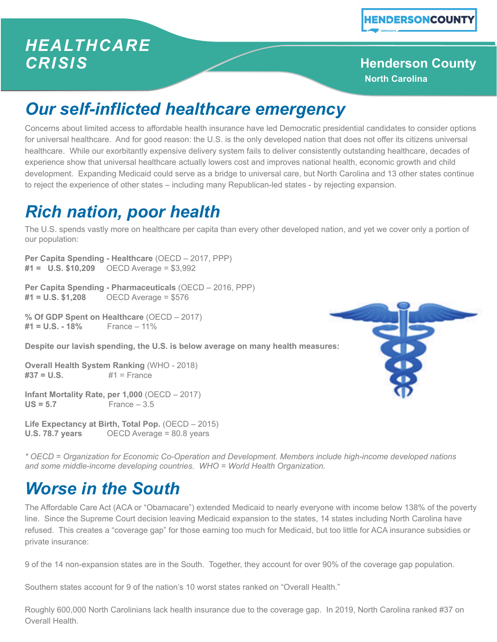#### *HEALTHCARE CRISIS*

#### **Henderson County North Carolina**

# *Our self-inflicted healthcare emergency*

Concerns about limited access to affordable health insurance have led Democratic presidential candidates to consider options for universal healthcare. And for good reason: the U.S. is the only developed nation that does not offer its citizens universal healthcare. While our exorbitantly expensive delivery system fails to deliver consistently outstanding healthcare, decades of experience show that universal healthcare actually lowers cost and improves national health, economic growth and child development. Expanding Medicaid could serve as a bridge to universal care, but North Carolina and 13 other states continue to reject the experience of other states – including many Republican-led states - by rejecting expansion.

## *Rich nation, poor health*

The U.S. spends vastly more on healthcare per capita than every other developed nation, and yet we cover only a portion of our population:

**Per Capita Spending - Healthcare** (OECD – 2017, PPP) **#1 = U.S. \$10,209** OECD Average = \$3,992

**Per Capita Spending - Pharmaceuticals** (OECD – 2016, PPP) **#1 = U.S. \$1,208** OECD Average = \$576

**% Of GDP Spent on Healthcare** (OECD – 2017)  $#1 = U.S. - 18\%$ 

**Despite our lavish spending, the U.S. is below average on many health measures:**

**Overall Health System Ranking** (WHO - 2018) **#37 = U.S.** #1 = France

**Infant Mortality Rate, per 1,000** (OECD – 2017)  $US = 5.7$  France  $-3.5$ 

**Life Expectancy at Birth, Total Pop.** (OECD – 2015) **U.S. 78.7 years** OECD Average = 80.8 years



*\* OECD = Organization for Economic Co-Operation and Development. Members include high-income developed nations and some middle-income developing countries. WHO = World Health Organization.*

## *Worse in the South*

The Affordable Care Act (ACA or "Obamacare") extended Medicaid to nearly everyone with income below 138% of the poverty line. Since the Supreme Court decision leaving Medicaid expansion to the states, 14 states including North Carolina have refused. This creates a "coverage gap" for those earning too much for Medicaid, but too little for ACA insurance subsidies or private insurance:

9 of the 14 non-expansion states are in the South. Together, they account for over 90% of the coverage gap population.

Southern states account for 9 of the nation's 10 worst states ranked on "Overall Health."

Roughly 600,000 North Carolinians lack health insurance due to the coverage gap. In 2019, North Carolina ranked #37 on Overall Health.